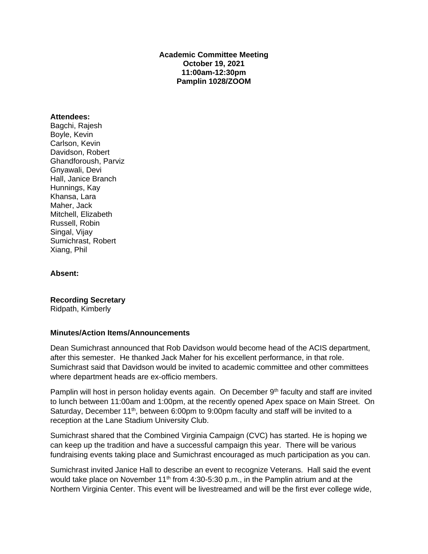#### **Academic Committee Meeting October 19, 2021 11:00am-12:30pm Pamplin 1028/ZOOM**

#### **Attendees:**

Bagchi, Rajesh Boyle, Kevin Carlson, Kevin Davidson, Robert Ghandforoush, Parviz Gnyawali, Devi Hall, Janice Branch Hunnings, Kay Khansa, Lara Maher, Jack Mitchell, Elizabeth Russell, Robin Singal, Vijay Sumichrast, Robert Xiang, Phil

#### **Absent:**

**Recording Secretary**

Ridpath, Kimberly

#### **Minutes/Action Items/Announcements**

Dean Sumichrast announced that Rob Davidson would become head of the ACIS department, after this semester. He thanked Jack Maher for his excellent performance, in that role. Sumichrast said that Davidson would be invited to academic committee and other committees where department heads are ex-officio members.

Pamplin will host in person holiday events again. On December 9<sup>th</sup> faculty and staff are invited to lunch between 11:00am and 1:00pm, at the recently opened Apex space on Main Street. On Saturday, December 11<sup>th</sup>, between 6:00pm to 9:00pm faculty and staff will be invited to a reception at the Lane Stadium University Club.

Sumichrast shared that the Combined Virginia Campaign (CVC) has started. He is hoping we can keep up the tradition and have a successful campaign this year. There will be various fundraising events taking place and Sumichrast encouraged as much participation as you can.

Sumichrast invited Janice Hall to describe an event to recognize Veterans. Hall said the event would take place on November 11<sup>th</sup> from 4:30-5:30 p.m., in the Pamplin atrium and at the Northern Virginia Center. This event will be livestreamed and will be the first ever college wide,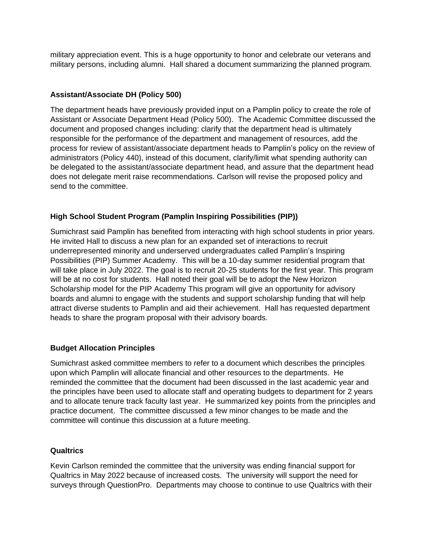military appreciation event. This is a huge opportunity to honor and celebrate our veterans and military persons, including alumni. Hall shared a document summarizing the planned program.

# **Assistant/Associate DH (Policy 500)**

The department heads have previously provided input on a Pamplin policy to create the role of Assistant or Associate Department Head (Policy 500). The Academic Committee discussed the document and proposed changes including: clarify that the department head is ultimately responsible for the performance of the department and management of resources, add the process for review of assistant/associate department heads to Pamplin's policy on the review of administrators (Policy 440), instead of this document, clarify/limit what spending authority can be delegated to the assistant/associate department head, and assure that the department head does not delegate merit raise recommendations. Carlson will revise the proposed policy and send to the committee.

# **High School Student Program (Pamplin Inspiring Possibilities (PIP))**

Sumichrast said Pamplin has benefited from interacting with high school students in prior years. He invited Hall to discuss a new plan for an expanded set of interactions to recruit underrepresented minority and underserved undergraduates called Pamplin's Inspiring Possibilities (PIP) Summer Academy. This will be a 10-day summer residential program that will take place in July 2022. The goal is to recruit 20-25 students for the first year. This program will be at no cost for students. Hall noted their goal will be to adopt the New Horizon Scholarship model for the PIP Academy This program will give an opportunity for advisory boards and alumni to engage with the students and support scholarship funding that will help attract diverse students to Pamplin and aid their achievement. Hall has requested department heads to share the program proposal with their advisory boards.

# **Budget Allocation Principles**

Sumichrast asked committee members to refer to a document which describes the principles upon which Pamplin will allocate financial and other resources to the departments. He reminded the committee that the document had been discussed in the last academic year and the principles have been used to allocate staff and operating budgets to department for 2 years and to allocate tenure track faculty last year. He summarized key points from the principles and practice document. The committee discussed a few minor changes to be made and the committee will continue this discussion at a future meeting.

# **Qualtrics**

Kevin Carlson reminded the committee that the university was ending financial support for Qualtrics in May 2022 because of increased costs. The university will support the need for surveys through QuestionPro. Departments may choose to continue to use Qualtrics with their